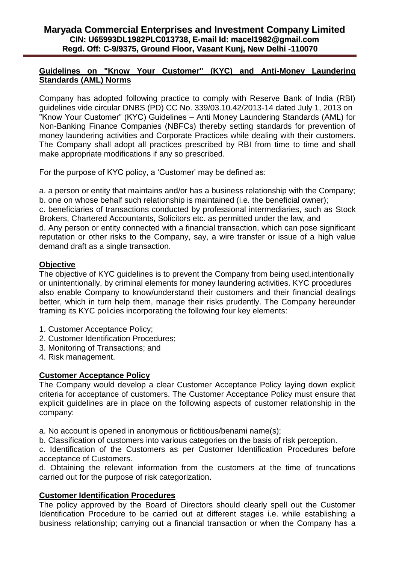### **Guidelines on "Know Your Customer" (KYC) and Anti-Money Laundering Standards (AML) Norms**

Company has adopted following practice to comply with Reserve Bank of India (RBI) guidelines vide circular DNBS (PD) CC No. 339/03.10.42/2013-14 dated July 1, 2013 on "Know Your Customer" (KYC) Guidelines – Anti Money Laundering Standards (AML) for Non-Banking Finance Companies (NBFCs) thereby setting standards for prevention of money laundering activities and Corporate Practices while dealing with their customers. The Company shall adopt all practices prescribed by RBI from time to time and shall make appropriate modifications if any so prescribed.

For the purpose of KYC policy, a 'Customer' may be defined as:

a. a person or entity that maintains and/or has a business relationship with the Company; b. one on whose behalf such relationship is maintained (i.e. the beneficial owner);

c. beneficiaries of transactions conducted by professional intermediaries, such as Stock Brokers, Chartered Accountants, Solicitors etc. as permitted under the law, and d. Any person or entity connected with a financial transaction, which can pose significant reputation or other risks to the Company, say, a wire transfer or issue of a high value demand draft as a single transaction.

### **Objective**

The objective of KYC guidelines is to prevent the Company from being used,intentionally or unintentionally, by criminal elements for money laundering activities. KYC procedures also enable Company to know/understand their customers and their financial dealings better, which in turn help them, manage their risks prudently. The Company hereunder framing its KYC policies incorporating the following four key elements:

- 1. Customer Acceptance Policy;
- 2. Customer Identification Procedures;
- 3. Monitoring of Transactions; and
- 4. Risk management.

#### **Customer Acceptance Policy**

The Company would develop a clear Customer Acceptance Policy laying down explicit criteria for acceptance of customers. The Customer Acceptance Policy must ensure that explicit guidelines are in place on the following aspects of customer relationship in the company:

a. No account is opened in anonymous or fictitious/benami name(s);

b. Classification of customers into various categories on the basis of risk perception.

c. Identification of the Customers as per Customer Identification Procedures before acceptance of Customers.

d. Obtaining the relevant information from the customers at the time of truncations carried out for the purpose of risk categorization.

## **Customer Identification Procedures**

The policy approved by the Board of Directors should clearly spell out the Customer Identification Procedure to be carried out at different stages i.e. while establishing a business relationship; carrying out a financial transaction or when the Company has a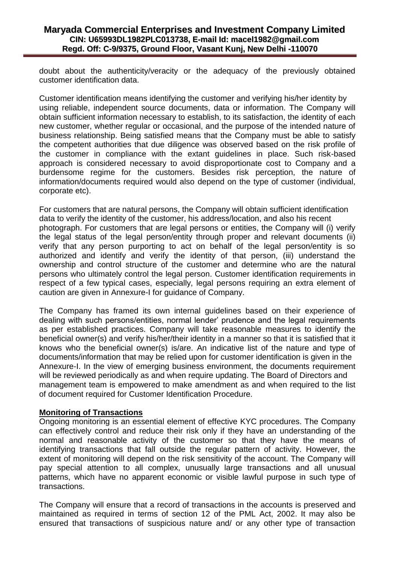doubt about the authenticity/veracity or the adequacy of the previously obtained customer identification data.

Customer identification means identifying the customer and verifying his/her identity by using reliable, independent source documents, data or information. The Company will obtain sufficient information necessary to establish, to its satisfaction, the identity of each new customer, whether regular or occasional, and the purpose of the intended nature of business relationship. Being satisfied means that the Company must be able to satisfy the competent authorities that due diligence was observed based on the risk profile of the customer in compliance with the extant guidelines in place. Such risk-based approach is considered necessary to avoid disproportionate cost to Company and a burdensome regime for the customers. Besides risk perception, the nature of information/documents required would also depend on the type of customer (individual, corporate etc).

For customers that are natural persons, the Company will obtain sufficient identification data to verify the identity of the customer, his address/location, and also his recent photograph. For customers that are legal persons or entities, the Company will (i) verify the legal status of the legal person/entity through proper and relevant documents (ii) verify that any person purporting to act on behalf of the legal person/entity is so authorized and identify and verify the identity of that person, (iii) understand the ownership and control structure of the customer and determine who are the natural persons who ultimately control the legal person. Customer identification requirements in respect of a few typical cases, especially, legal persons requiring an extra element of caution are given in Annexure-I for guidance of Company.

The Company has framed its own internal guidelines based on their experience of dealing with such persons/entities, normal lender' prudence and the legal requirements as per established practices. Company will take reasonable measures to identify the beneficial owner(s) and verify his/her/their identity in a manner so that it is satisfied that it knows who the beneficial owner(s) is/are. An indicative list of the nature and type of documents/information that may be relied upon for customer identification is given in the Annexure-I. In the view of emerging business environment, the documents requirement will be reviewed periodically as and when require updating. The Board of Directors and management team is empowered to make amendment as and when required to the list of document required for Customer Identification Procedure.

#### **Monitoring of Transactions**

Ongoing monitoring is an essential element of effective KYC procedures. The Company can effectively control and reduce their risk only if they have an understanding of the normal and reasonable activity of the customer so that they have the means of identifying transactions that fall outside the regular pattern of activity. However, the extent of monitoring will depend on the risk sensitivity of the account. The Company will pay special attention to all complex, unusually large transactions and all unusual patterns, which have no apparent economic or visible lawful purpose in such type of transactions.

The Company will ensure that a record of transactions in the accounts is preserved and maintained as required in terms of section 12 of the PML Act, 2002. It may also be ensured that transactions of suspicious nature and/ or any other type of transaction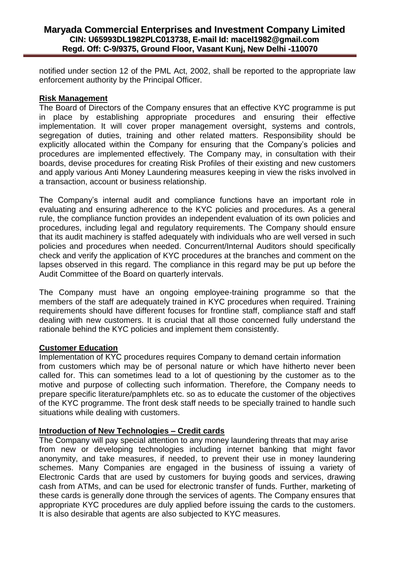notified under section 12 of the PML Act, 2002, shall be reported to the appropriate law enforcement authority by the Principal Officer.

#### **Risk Management**

The Board of Directors of the Company ensures that an effective KYC programme is put in place by establishing appropriate procedures and ensuring their effective implementation. It will cover proper management oversight, systems and controls, segregation of duties, training and other related matters. Responsibility should be explicitly allocated within the Company for ensuring that the Company's policies and procedures are implemented effectively. The Company may, in consultation with their boards, devise procedures for creating Risk Profiles of their existing and new customers and apply various Anti Money Laundering measures keeping in view the risks involved in a transaction, account or business relationship.

The Company's internal audit and compliance functions have an important role in evaluating and ensuring adherence to the KYC policies and procedures. As a general rule, the compliance function provides an independent evaluation of its own policies and procedures, including legal and regulatory requirements. The Company should ensure that its audit machinery is staffed adequately with individuals who are well versed in such policies and procedures when needed. Concurrent/Internal Auditors should specifically check and verify the application of KYC procedures at the branches and comment on the lapses observed in this regard. The compliance in this regard may be put up before the Audit Committee of the Board on quarterly intervals.

The Company must have an ongoing employee-training programme so that the members of the staff are adequately trained in KYC procedures when required. Training requirements should have different focuses for frontline staff, compliance staff and staff dealing with new customers. It is crucial that all those concerned fully understand the rationale behind the KYC policies and implement them consistently.

## **Customer Education**

Implementation of KYC procedures requires Company to demand certain information from customers which may be of personal nature or which have hitherto never been called for. This can sometimes lead to a lot of questioning by the customer as to the motive and purpose of collecting such information. Therefore, the Company needs to prepare specific literature/pamphlets etc. so as to educate the customer of the objectives of the KYC programme. The front desk staff needs to be specially trained to handle such situations while dealing with customers.

## **Introduction of New Technologies – Credit cards**

The Company will pay special attention to any money laundering threats that may arise from new or developing technologies including internet banking that might favor anonymity, and take measures, if needed, to prevent their use in money laundering schemes. Many Companies are engaged in the business of issuing a variety of Electronic Cards that are used by customers for buying goods and services, drawing cash from ATMs, and can be used for electronic transfer of funds. Further, marketing of these cards is generally done through the services of agents. The Company ensures that appropriate KYC procedures are duly applied before issuing the cards to the customers. It is also desirable that agents are also subjected to KYC measures.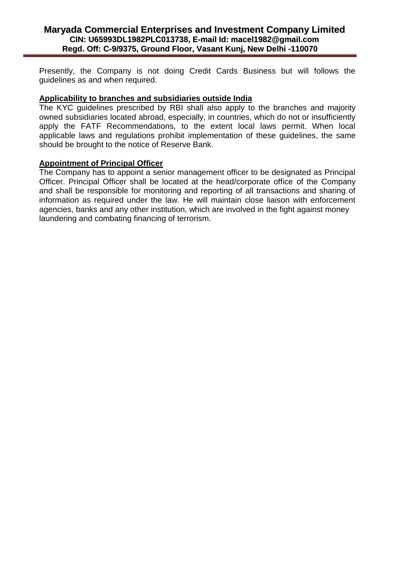Presently, the Company is not doing Credit Cards Business but will follows the guidelines as and when required.

#### **Applicability to branches and subsidiaries outside India**

The KYC guidelines prescribed by RBI shall also apply to the branches and majority owned subsidiaries located abroad, especially, in countries, which do not or insufficiently apply the FATF Recommendations, to the extent local laws permit. When local applicable laws and regulations prohibit implementation of these guidelines, the same should be brought to the notice of Reserve Bank.

#### **Appointment of Principal Officer**

The Company has to appoint a senior management officer to be designated as Principal Officer. Principal Officer shall be located at the head/corporate office of the Company and shall be responsible for monitoring and reporting of all transactions and sharing of information as required under the law. He will maintain close liaison with enforcement agencies, banks and any other institution, which are involved in the fight against money laundering and combating financing of terrorism.